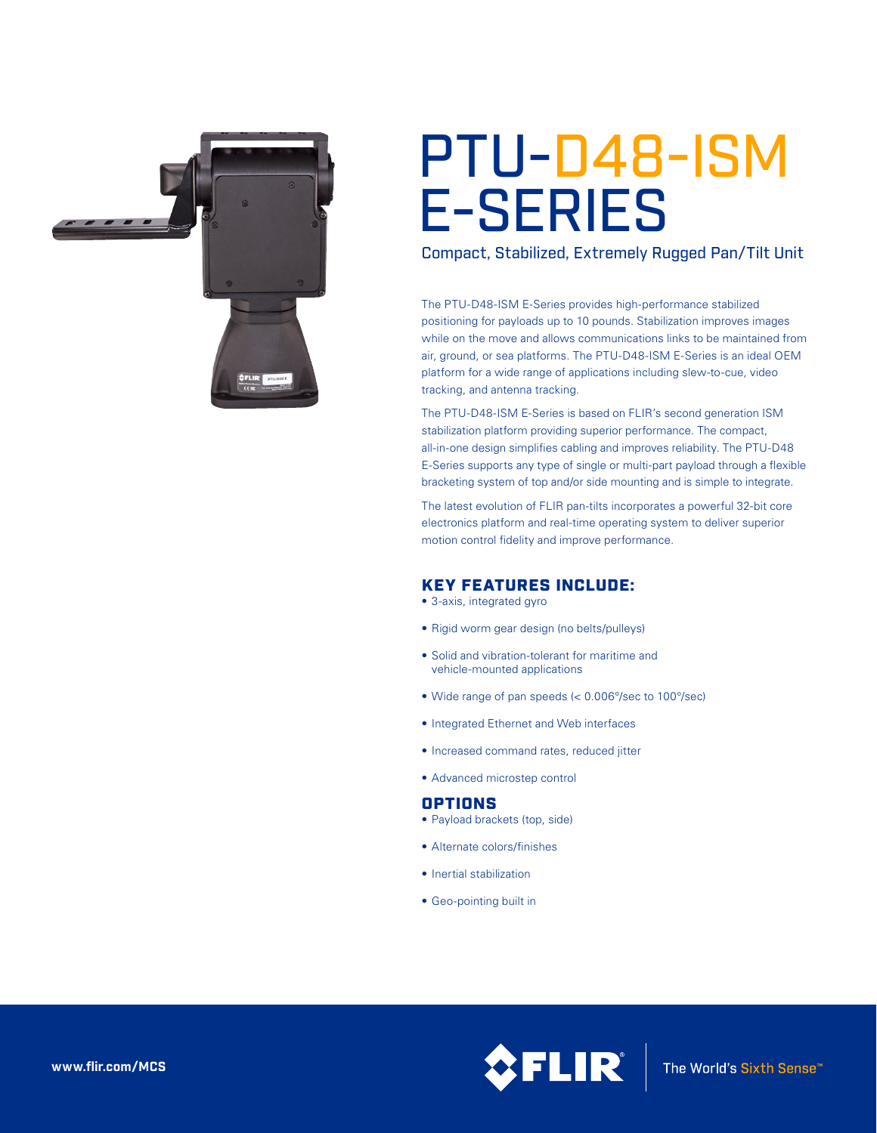

# PTU-D48-ISM E-SERIES

Compact, Stabilized, Extremely Rugged Pan/Tilt Unit

The PTU-D48-ISM E-Series provides high-performance stabilized positioning for payloads up to 10 pounds. Stabilization improves images while on the move and allows communications links to be maintained from air, ground, or sea platforms. The PTU-D48-ISM E-Series is an ideal OEM platform for a wide range of applications including slew-to-cue, video tracking, and antenna tracking.

The PTU-D48-ISM E-Series is based on FLIR's second generation ISM stabilization platform providing superior performance. The compact, all-in-one design simplifies cabling and improves reliability. The PTU-D48 E-Series supports any type of single or multi-part payload through a flexible bracketing system of top and/or side mounting and is simple to integrate.

The latest evolution of FLIR pan-tilts incorporates a powerful 32-bit core electronics platform and real-time operating system to deliver superior motion control fidelity and improve performance.

## KEY FEATURES INCLUDE:

• 3-axis, integrated gyro

- Rigid worm gear design (no belts/pulleys)
- • Solid and vibration-tolerant for maritime and vehicle-mounted applications
- • Wide range of pan speeds (< 0.006°/sec to 100°/sec)
- • Integrated Ethernet and Web interfaces
- Increased command rates, reduced jitter
- • Advanced microstep control

## OPTIONS

- Payload brackets (top, side)
- • Alternate colors/finishes
- Inertial stabilization
- Geo-pointing built in